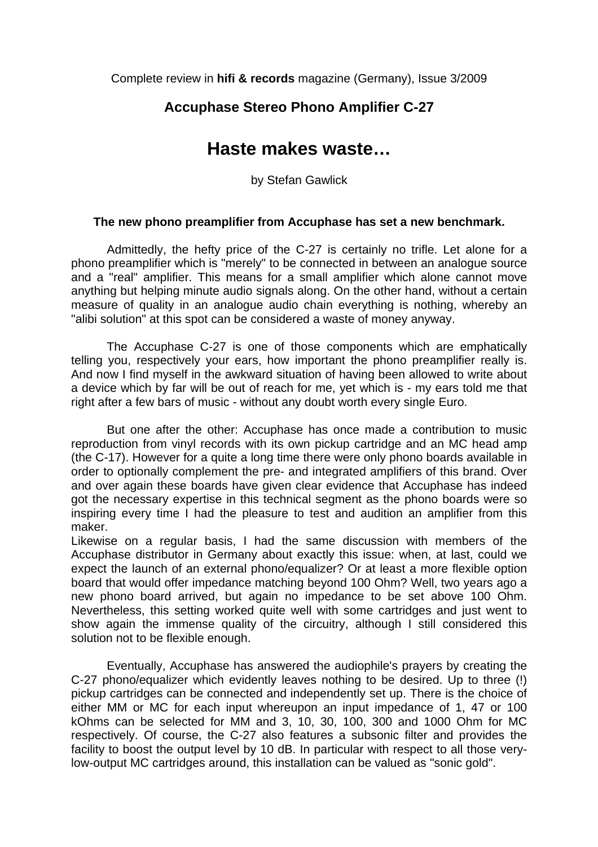Complete review in **hifi & records** magazine (Germany), Issue 3/2009

## **Accuphase Stereo Phono Amplifier C-27**

## **Haste makes waste…**

by Stefan Gawlick

## **The new phono preamplifier from Accuphase has set a new benchmark.**

 Admittedly, the hefty price of the C-27 is certainly no trifle. Let alone for a phono preamplifier which is "merely" to be connected in between an analogue source and a "real" amplifier. This means for a small amplifier which alone cannot move anything but helping minute audio signals along. On the other hand, without a certain measure of quality in an analogue audio chain everything is nothing, whereby an "alibi solution" at this spot can be considered a waste of money anyway.

 The Accuphase C-27 is one of those components which are emphatically telling you, respectively your ears, how important the phono preamplifier really is. And now I find myself in the awkward situation of having been allowed to write about a device which by far will be out of reach for me, yet which is - my ears told me that right after a few bars of music - without any doubt worth every single Euro.

 But one after the other: Accuphase has once made a contribution to music reproduction from vinyl records with its own pickup cartridge and an MC head amp (the C-17). However for a quite a long time there were only phono boards available in order to optionally complement the pre- and integrated amplifiers of this brand. Over and over again these boards have given clear evidence that Accuphase has indeed got the necessary expertise in this technical segment as the phono boards were so inspiring every time I had the pleasure to test and audition an amplifier from this maker.

Likewise on a regular basis, I had the same discussion with members of the Accuphase distributor in Germany about exactly this issue: when, at last, could we expect the launch of an external phono/equalizer? Or at least a more flexible option board that would offer impedance matching beyond 100 Ohm? Well, two years ago a new phono board arrived, but again no impedance to be set above 100 Ohm. Nevertheless, this setting worked quite well with some cartridges and just went to show again the immense quality of the circuitry, although I still considered this solution not to be flexible enough.

 Eventually, Accuphase has answered the audiophile's prayers by creating the C-27 phono/equalizer which evidently leaves nothing to be desired. Up to three (!) pickup cartridges can be connected and independently set up. There is the choice of either MM or MC for each input whereupon an input impedance of 1, 47 or 100 kOhms can be selected for MM and 3, 10, 30, 100, 300 and 1000 Ohm for MC respectively. Of course, the C-27 also features a subsonic filter and provides the facility to boost the output level by 10 dB. In particular with respect to all those verylow-output MC cartridges around, this installation can be valued as "sonic gold".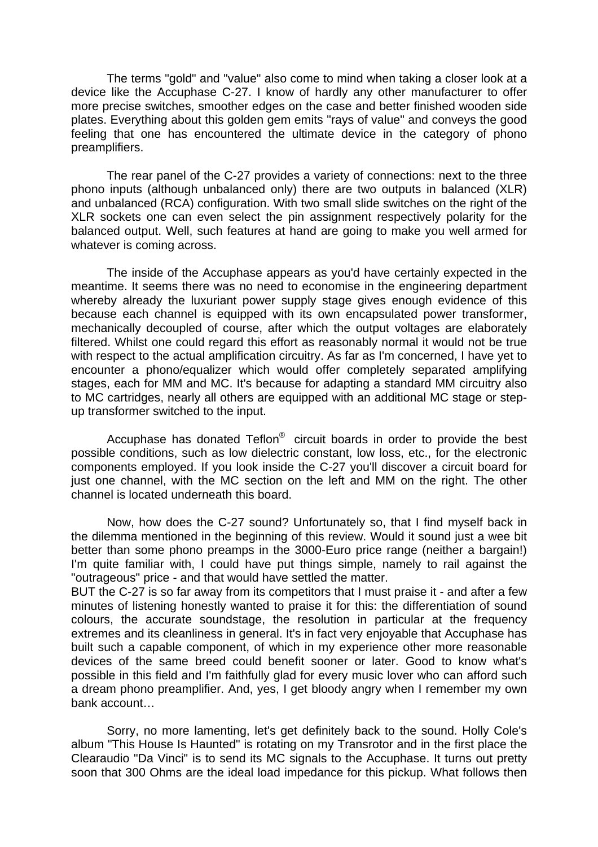The terms "gold" and "value" also come to mind when taking a closer look at a device like the Accuphase C-27. I know of hardly any other manufacturer to offer more precise switches, smoother edges on the case and better finished wooden side plates. Everything about this golden gem emits "rays of value" and conveys the good feeling that one has encountered the ultimate device in the category of phono preamplifiers.

 The rear panel of the C-27 provides a variety of connections: next to the three phono inputs (although unbalanced only) there are two outputs in balanced (XLR) and unbalanced (RCA) configuration. With two small slide switches on the right of the XLR sockets one can even select the pin assignment respectively polarity for the balanced output. Well, such features at hand are going to make you well armed for whatever is coming across.

 The inside of the Accuphase appears as you'd have certainly expected in the meantime. It seems there was no need to economise in the engineering department whereby already the luxuriant power supply stage gives enough evidence of this because each channel is equipped with its own encapsulated power transformer, mechanically decoupled of course, after which the output voltages are elaborately filtered. Whilst one could regard this effort as reasonably normal it would not be true with respect to the actual amplification circuitry. As far as I'm concerned, I have yet to encounter a phono/equalizer which would offer completely separated amplifying stages, each for MM and MC. It's because for adapting a standard MM circuitry also to MC cartridges, nearly all others are equipped with an additional MC stage or stepup transformer switched to the input.

 Accuphase has donated Teflon® circuit boards in order to provide the best possible conditions, such as low dielectric constant, low loss, etc., for the electronic components employed. If you look inside the C-27 you'll discover a circuit board for just one channel, with the MC section on the left and MM on the right. The other channel is located underneath this board.

 Now, how does the C-27 sound? Unfortunately so, that I find myself back in the dilemma mentioned in the beginning of this review. Would it sound just a wee bit better than some phono preamps in the 3000-Euro price range (neither a bargain!) I'm quite familiar with, I could have put things simple, namely to rail against the "outrageous" price - and that would have settled the matter.

BUT the C-27 is so far away from its competitors that I must praise it - and after a few minutes of listening honestly wanted to praise it for this: the differentiation of sound colours, the accurate soundstage, the resolution in particular at the frequency extremes and its cleanliness in general. It's in fact very enjoyable that Accuphase has built such a capable component, of which in my experience other more reasonable devices of the same breed could benefit sooner or later. Good to know what's possible in this field and I'm faithfully glad for every music lover who can afford such a dream phono preamplifier. And, yes, I get bloody angry when I remember my own bank account…

 Sorry, no more lamenting, let's get definitely back to the sound. Holly Cole's album "This House Is Haunted" is rotating on my Transrotor and in the first place the Clearaudio "Da Vinci" is to send its MC signals to the Accuphase. It turns out pretty soon that 300 Ohms are the ideal load impedance for this pickup. What follows then